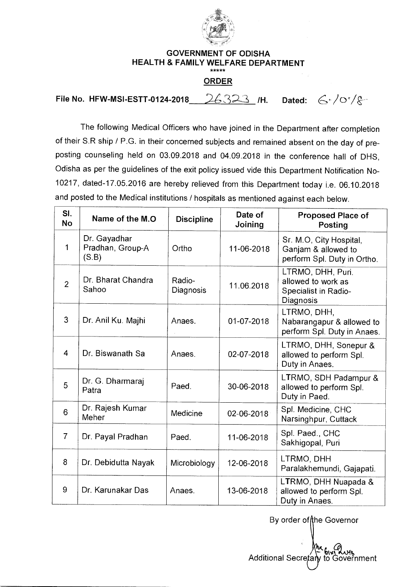

## **GOVERNMENT OF ODISHA HEALTH & FAMILY WELFARE DEPARTMENT ORDER**

**File No. HFW-MSI-ESTT-0124-2018** 26323 /H. Dated:  $G/0$  /  $g-$ 

The following Medical Officers who have joined in the Department after completion of their S.R ship / P.G. in their concerned subjects and remained absent on the day of preposting counseling held on 03.09.2018 and 04.09.2018 in the conference hall of OHS, Odisha as per the guidelines of the exit policy issued vide this Department Notification No-10217, dated-17.05.2016 are hereby relieved from this Department today i.e. 06.10.2018 and posted to the Medical institutions / hospitals as mentioned against each below.

| SI.<br><b>No</b> | Name of the M.O.                          | <b>Discipline</b>   | Date of<br>Joining | <b>Proposed Place of</b><br>Posting                                           |
|------------------|-------------------------------------------|---------------------|--------------------|-------------------------------------------------------------------------------|
| 1                | Dr. Gayadhar<br>Pradhan, Group-A<br>(S.B) | Ortho               | 11-06-2018         | Sr. M.O, City Hospital,<br>Ganjam & allowed to<br>perform Spl. Duty in Ortho. |
| $\overline{2}$   | Dr. Bharat Chandra<br>Sahoo               | Radio-<br>Diagnosis | 11.06.2018         | LTRMO, DHH, Puri.<br>allowed to work as<br>Specialist in Radio-<br>Diagnosis  |
| 3                | Dr. Anil Ku. Majhi                        | Anaes.              | 01-07-2018         | LTRMO, DHH,<br>Nabarangapur & allowed to<br>perform Spl. Duty in Anaes.       |
| $\overline{4}$   | Dr. Biswanath Sa                          | Anaes.              | 02-07-2018         | LTRMO, DHH, Sonepur &<br>allowed to perform Spl.<br>Duty in Anaes.            |
| 5                | Dr. G. Dharmaraj<br>Patra                 | Paed.               | 30-06-2018         | LTRMO, SDH Padampur &<br>allowed to perform Spl.<br>Duty in Paed.             |
| 6                | Dr. Rajesh Kumar<br>Meher                 | Medicine            | 02-06-2018         | Spl. Medicine, CHC<br>Narsinghpur, Cuttack                                    |
| $\overline{7}$   | Dr. Payal Pradhan                         | Paed.               | 11-06-2018         | Spl. Paed., CHC<br>Sakhigopal, Puri                                           |
| 8                | Dr. Debidutta Nayak                       | Microbiology        | 12-06-2018         | LTRMO, DHH<br>Paralakhemundi, Gajapati.                                       |
| 9                | Dr. Karunakar Das                         | Anaes.              | 13-06-2018         | LTRMO, DHH Nuapada &<br>allowed to perform Spl.<br>Duty in Anaes.             |

By order of the Governor

Additional Secretary to Government